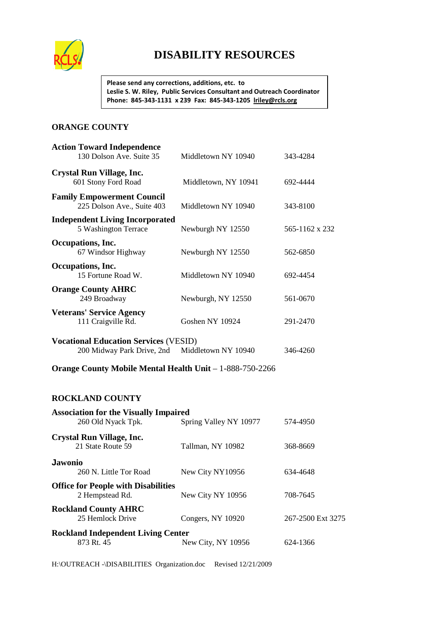

## **DISABILITY RESOURCES**

**Please send any corrections, additions, etc. to Leslie S. W. Riley, Public Services Consultant and Outreach Coordinator Phone: 845-343-1131 x 239 Fax: 845-343-1205 lriley@rcls.org**

## **ORANGE COUNTY**

| <b>Action Toward Independence</b><br>130 Dolson Ave. Suite 35                                  | Middletown NY 10940    | 343-4284          |
|------------------------------------------------------------------------------------------------|------------------------|-------------------|
| <b>Crystal Run Village, Inc.</b><br>601 Stony Ford Road                                        | Middletown, NY 10941   | 692-4444          |
| <b>Family Empowerment Council</b><br>225 Dolson Ave., Suite 403                                | Middletown NY 10940    | 343-8100          |
| <b>Independent Living Incorporated</b><br>5 Washington Terrace                                 | Newburgh NY 12550      | 565-1162 x 232    |
| Occupations, Inc.<br>67 Windsor Highway                                                        | Newburgh NY 12550      | 562-6850          |
| Occupations, Inc.<br>15 Fortune Road W.                                                        | Middletown NY 10940    | 692-4454          |
| <b>Orange County AHRC</b><br>249 Broadway                                                      | Newburgh, NY 12550     | 561-0670          |
| <b>Veterans' Service Agency</b><br>111 Craigville Rd.                                          | Goshen NY 10924        | 291-2470          |
| <b>Vocational Education Services (VESID)</b><br>200 Midway Park Drive, 2nd Middletown NY 10940 |                        | 346-4260          |
| Orange County Mobile Mental Health Unit - 1-888-750-2266                                       |                        |                   |
| <b>ROCKLAND COUNTY</b>                                                                         |                        |                   |
| <b>Association for the Visually Impaired</b><br>260 Old Nyack Tpk.                             | Spring Valley NY 10977 | 574-4950          |
| <b>Crystal Run Village, Inc.</b><br>21 State Route 59                                          | Tallman, NY 10982      | 368-8669          |
| <b>Jawonio</b><br>260 N. Little Tor Road                                                       | New City NY10956       | 634-4648          |
| <b>Office for People with Disabilities</b><br>2 Hempstead Rd.                                  | New City NY 10956      | 708-7645          |
| <b>Rockland County AHRC</b><br>25 Hemlock Drive                                                | Congers, NY 10920      | 267-2500 Ext 3275 |
| <b>Rockland Independent Living Center</b><br>873 Rt. 45                                        | New City, NY 10956     | 624-1366          |

H:\OUTREACH -\DISABILITIES Organization.doc Revised 12/21/2009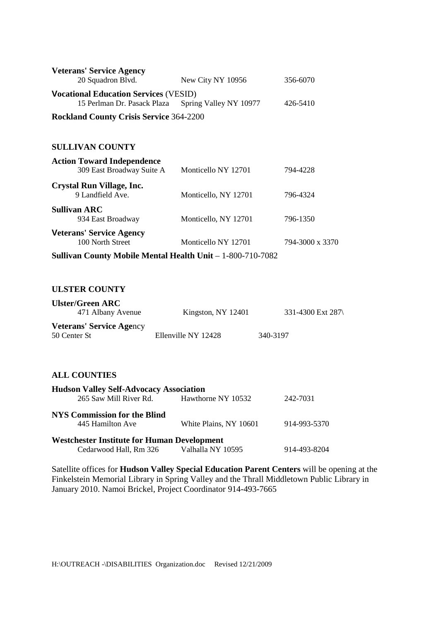| <b>Veterans' Service Agency</b><br>20 Squadron Blvd.                         | New City NY 10956      | 356-6070         |
|------------------------------------------------------------------------------|------------------------|------------------|
| <b>Vocational Education Services (VESID)</b><br>15 Perlman Dr. Pasack Plaza  | Spring Valley NY 10977 | 426-5410         |
| <b>Rockland County Crisis Service 364-2200</b>                               |                        |                  |
| <b>SULLIVAN COUNTY</b>                                                       |                        |                  |
| <b>Action Toward Independence</b><br>309 East Broadway Suite A               | Monticello NY 12701    | 794-4228         |
| <b>Crystal Run Village, Inc.</b><br>9 Landfield Ave.                         | Monticello, NY 12701   | 796-4324         |
| <b>Sullivan ARC</b><br>934 East Broadway                                     | Monticello, NY 12701   | 796-1350         |
| <b>Veterans' Service Agency</b><br>100 North Street                          | Monticello NY 12701    | 794-3000 x 3370  |
| <b>Sullivan County Mobile Mental Health Unit - 1-800-710-7082</b>            |                        |                  |
| <b>ULSTER COUNTY</b>                                                         |                        |                  |
| <b>Ulster/Green ARC</b><br>471 Albany Avenue                                 | Kingston, NY 12401     | 331-4300 Ext 287 |
| <b>Veterans' Service Agency</b><br>50 Center St                              | Ellenville NY 12428    | 340-3197         |
| <b>ALL COUNTIES</b>                                                          |                        |                  |
| <b>Hudson Valley Self-Advocacy Association</b><br>265 Saw Mill River Rd.     | Hawthorne NY 10532     | 242-7031         |
| <b>NYS Commission for the Blind</b><br>445 Hamilton Ave                      | White Plains, NY 10601 | 914-993-5370     |
| <b>Westchester Institute for Human Development</b><br>Cedarwood Hall, Rm 326 | Valhalla NY 10595      | 914-493-8204     |

Satellite offices for **Hudson Valley Special Education Parent Centers** will be opening at the Finkelstein Memorial Library in Spring Valley and the Thrall Middletown Public Library in January 2010. Namoi Brickel, Project Coordinator 914-493-7665